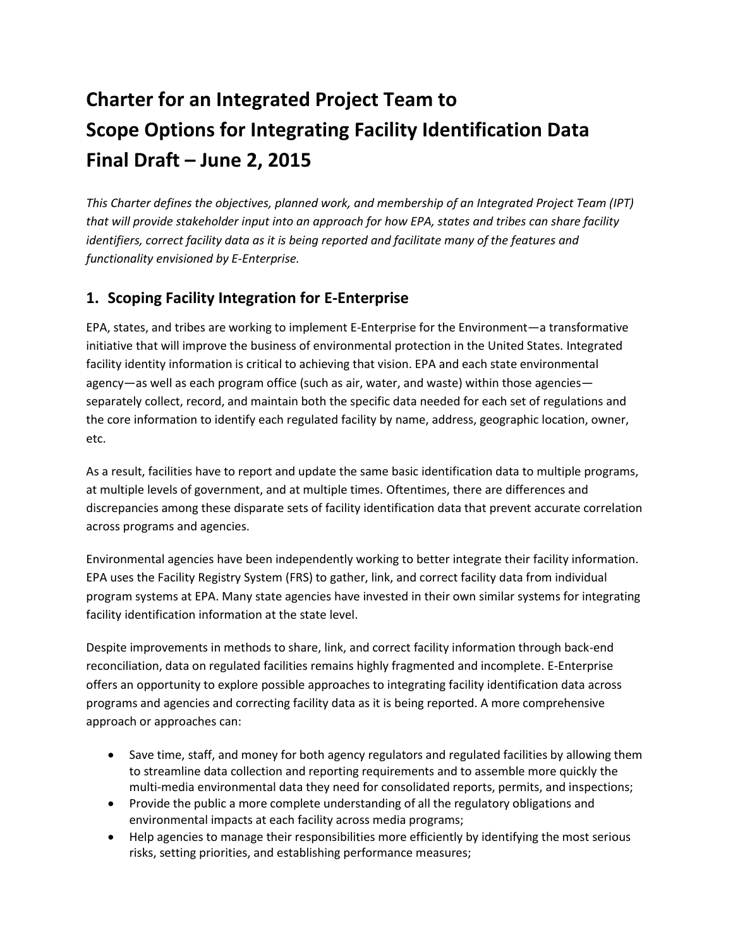# **Charter for an Integrated Project Team to Scope Options for Integrating Facility Identification Data Final Draft – June 2, 2015**

*This Charter defines the objectives, planned work, and membership of an Integrated Project Team (IPT) that will provide stakeholder input into an approach for how EPA, states and tribes can share facility identifiers, correct facility data as it is being reported and facilitate many of the features and functionality envisioned by E-Enterprise.*

## **1. Scoping Facility Integration for E-Enterprise**

EPA, states, and tribes are working to implement E-Enterprise for the Environment—a transformative initiative that will improve the business of environmental protection in the United States. Integrated facility identity information is critical to achieving that vision. EPA and each state environmental agency—as well as each program office (such as air, water, and waste) within those agencies separately collect, record, and maintain both the specific data needed for each set of regulations and the core information to identify each regulated facility by name, address, geographic location, owner, etc.

As a result, facilities have to report and update the same basic identification data to multiple programs, at multiple levels of government, and at multiple times. Oftentimes, there are differences and discrepancies among these disparate sets of facility identification data that prevent accurate correlation across programs and agencies.

Environmental agencies have been independently working to better integrate their facility information. EPA uses the Facility Registry System (FRS) to gather, link, and correct facility data from individual program systems at EPA. Many state agencies have invested in their own similar systems for integrating facility identification information at the state level.

Despite improvements in methods to share, link, and correct facility information through back-end reconciliation, data on regulated facilities remains highly fragmented and incomplete. E-Enterprise offers an opportunity to explore possible approaches to integrating facility identification data across programs and agencies and correcting facility data as it is being reported. A more comprehensive approach or approaches can:

- Save time, staff, and money for both agency regulators and regulated facilities by allowing them to streamline data collection and reporting requirements and to assemble more quickly the multi-media environmental data they need for consolidated reports, permits, and inspections;
- Provide the public a more complete understanding of all the regulatory obligations and environmental impacts at each facility across media programs;
- Help agencies to manage their responsibilities more efficiently by identifying the most serious risks, setting priorities, and establishing performance measures;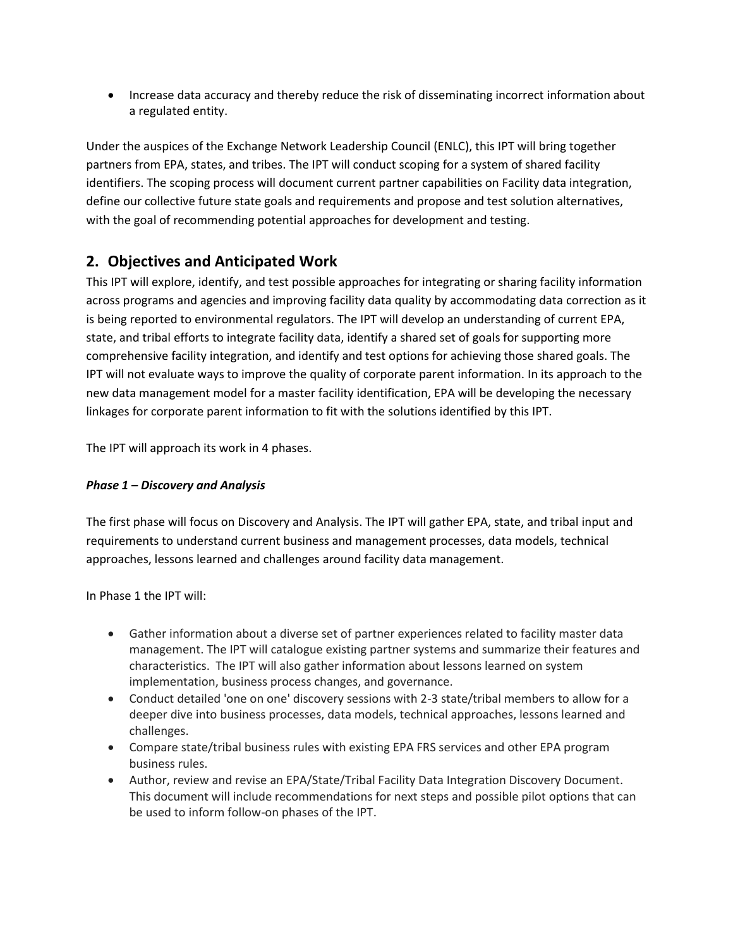• Increase data accuracy and thereby reduce the risk of disseminating incorrect information about a regulated entity.

Under the auspices of the Exchange Network Leadership Council (ENLC), this IPT will bring together partners from EPA, states, and tribes. The IPT will conduct scoping for a system of shared facility identifiers. The scoping process will document current partner capabilities on Facility data integration, define our collective future state goals and requirements and propose and test solution alternatives, with the goal of recommending potential approaches for development and testing.

## **2. Objectives and Anticipated Work**

This IPT will explore, identify, and test possible approaches for integrating or sharing facility information across programs and agencies and improving facility data quality by accommodating data correction as it is being reported to environmental regulators. The IPT will develop an understanding of current EPA, state, and tribal efforts to integrate facility data, identify a shared set of goals for supporting more comprehensive facility integration, and identify and test options for achieving those shared goals. The IPT will not evaluate ways to improve the quality of corporate parent information. In its approach to the new data management model for a master facility identification, EPA will be developing the necessary linkages for corporate parent information to fit with the solutions identified by this IPT.

The IPT will approach its work in 4 phases.

#### *Phase 1 – Discovery and Analysis*

The first phase will focus on Discovery and Analysis. The IPT will gather EPA, state, and tribal input and requirements to understand current business and management processes, data models, technical approaches, lessons learned and challenges around facility data management.

In Phase 1 the IPT will:

- Gather information about a diverse set of partner experiences related to facility master data management. The IPT will catalogue existing partner systems and summarize their features and characteristics. The IPT will also gather information about lessons learned on system implementation, business process changes, and governance.
- Conduct detailed 'one on one' discovery sessions with 2-3 state/tribal members to allow for a deeper dive into business processes, data models, technical approaches, lessons learned and challenges.
- Compare state/tribal business rules with existing EPA FRS services and other EPA program business rules.
- Author, review and revise an EPA/State/Tribal Facility Data Integration Discovery Document. This document will include recommendations for next steps and possible pilot options that can be used to inform follow-on phases of the IPT.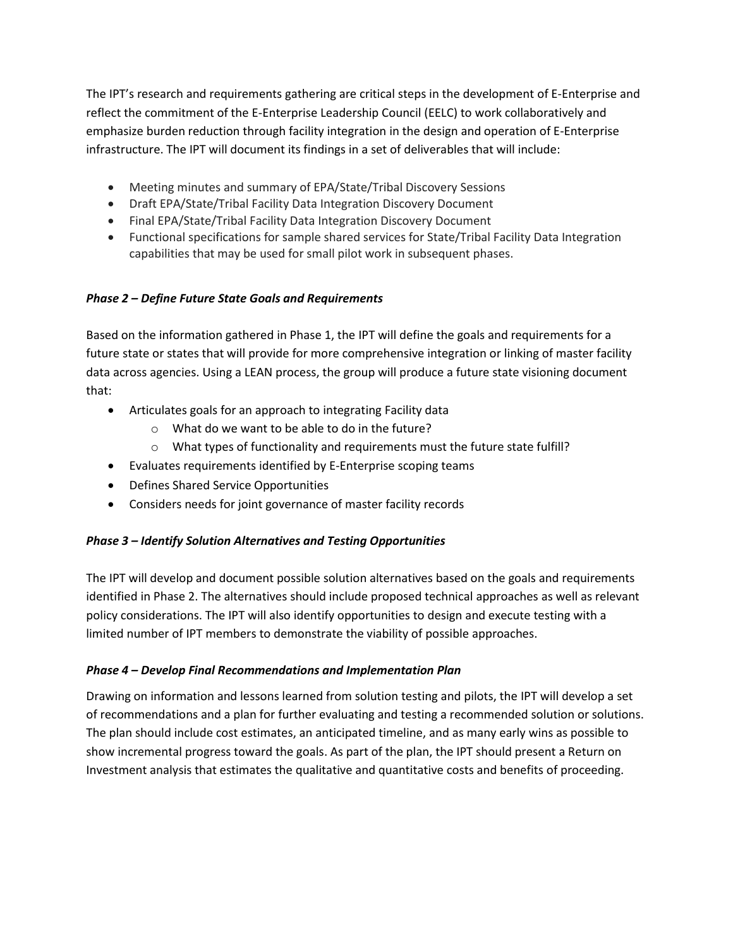The IPT's research and requirements gathering are critical steps in the development of E-Enterprise and reflect the commitment of the E-Enterprise Leadership Council (EELC) to work collaboratively and emphasize burden reduction through facility integration in the design and operation of E-Enterprise infrastructure. The IPT will document its findings in a set of deliverables that will include:

- Meeting minutes and summary of EPA/State/Tribal Discovery Sessions
- Draft EPA/State/Tribal Facility Data Integration Discovery Document
- Final EPA/State/Tribal Facility Data Integration Discovery Document
- Functional specifications for sample shared services for State/Tribal Facility Data Integration capabilities that may be used for small pilot work in subsequent phases.

#### *Phase 2 – Define Future State Goals and Requirements*

Based on the information gathered in Phase 1, the IPT will define the goals and requirements for a future state or states that will provide for more comprehensive integration or linking of master facility data across agencies. Using a LEAN process, the group will produce a future state visioning document that:

- Articulates goals for an approach to integrating Facility data
	- o What do we want to be able to do in the future?
	- o What types of functionality and requirements must the future state fulfill?
- Evaluates requirements identified by E-Enterprise scoping teams
- Defines Shared Service Opportunities
- Considers needs for joint governance of master facility records

#### *Phase 3 – Identify Solution Alternatives and Testing Opportunities*

The IPT will develop and document possible solution alternatives based on the goals and requirements identified in Phase 2. The alternatives should include proposed technical approaches as well as relevant policy considerations. The IPT will also identify opportunities to design and execute testing with a limited number of IPT members to demonstrate the viability of possible approaches.

#### *Phase 4 – Develop Final Recommendations and Implementation Plan*

Drawing on information and lessons learned from solution testing and pilots, the IPT will develop a set of recommendations and a plan for further evaluating and testing a recommended solution or solutions. The plan should include cost estimates, an anticipated timeline, and as many early wins as possible to show incremental progress toward the goals. As part of the plan, the IPT should present a Return on Investment analysis that estimates the qualitative and quantitative costs and benefits of proceeding.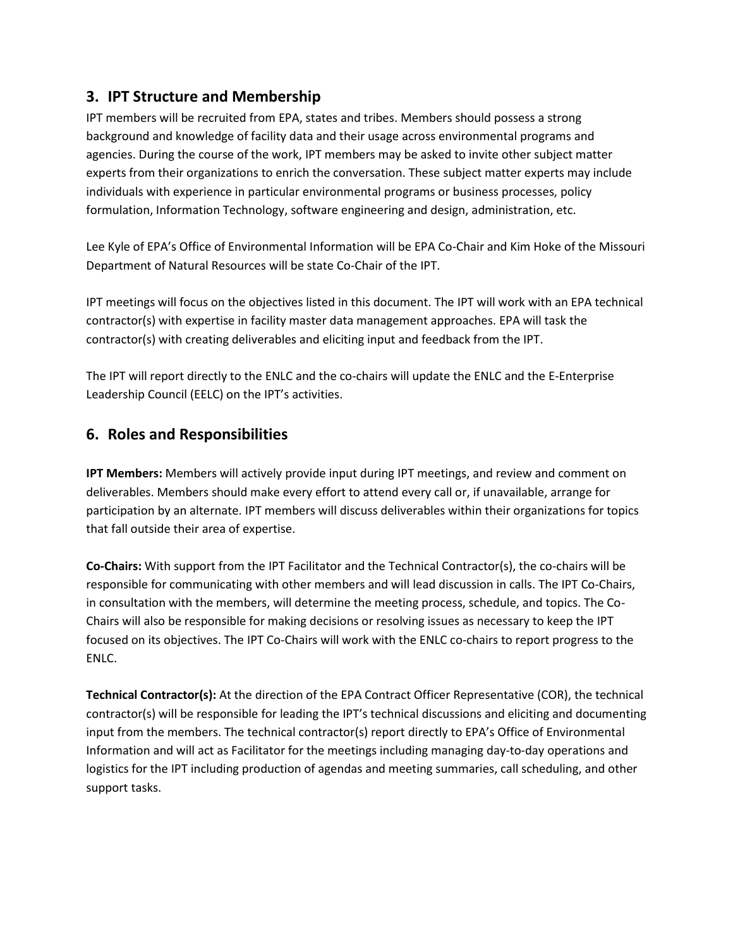## **3. IPT Structure and Membership**

IPT members will be recruited from EPA, states and tribes. Members should possess a strong background and knowledge of facility data and their usage across environmental programs and agencies. During the course of the work, IPT members may be asked to invite other subject matter experts from their organizations to enrich the conversation. These subject matter experts may include individuals with experience in particular environmental programs or business processes, policy formulation, Information Technology, software engineering and design, administration, etc.

Lee Kyle of EPA's Office of Environmental Information will be EPA Co-Chair and Kim Hoke of the Missouri Department of Natural Resources will be state Co-Chair of the IPT.

IPT meetings will focus on the objectives listed in this document. The IPT will work with an EPA technical contractor(s) with expertise in facility master data management approaches. EPA will task the contractor(s) with creating deliverables and eliciting input and feedback from the IPT.

The IPT will report directly to the ENLC and the co-chairs will update the ENLC and the E-Enterprise Leadership Council (EELC) on the IPT's activities.

## **6. Roles and Responsibilities**

**IPT Members:** Members will actively provide input during IPT meetings, and review and comment on deliverables. Members should make every effort to attend every call or, if unavailable, arrange for participation by an alternate. IPT members will discuss deliverables within their organizations for topics that fall outside their area of expertise.

**Co-Chairs:** With support from the IPT Facilitator and the Technical Contractor(s), the co-chairs will be responsible for communicating with other members and will lead discussion in calls. The IPT Co-Chairs, in consultation with the members, will determine the meeting process, schedule, and topics. The Co-Chairs will also be responsible for making decisions or resolving issues as necessary to keep the IPT focused on its objectives. The IPT Co-Chairs will work with the ENLC co-chairs to report progress to the ENLC.

**Technical Contractor(s):** At the direction of the EPA Contract Officer Representative (COR), the technical contractor(s) will be responsible for leading the IPT's technical discussions and eliciting and documenting input from the members. The technical contractor(s) report directly to EPA's Office of Environmental Information and will act as Facilitator for the meetings including managing day-to-day operations and logistics for the IPT including production of agendas and meeting summaries, call scheduling, and other support tasks.